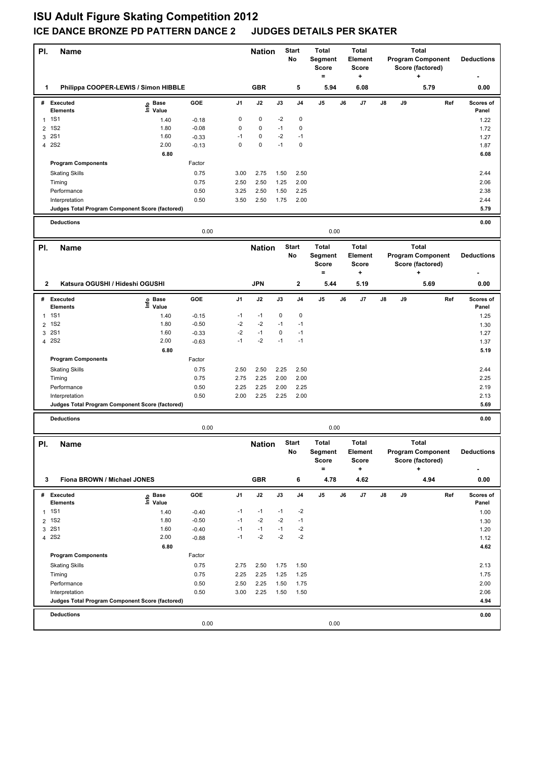## **ISU Adult Figure Skating Competition 2012 ICE DANCE BRONZE PD PATTERN DANCE 2 JUDGES DETAILS PER SKATER**

| PI.                 | <b>Name</b>                                     |                            |                    |                | <b>Nation</b>            |              | <b>Start</b><br>No  | <b>Total</b><br><b>Segment</b><br><b>Score</b><br>$=$ |    | <b>Total</b><br><b>Element</b><br>Score<br>+                |    |    | <b>Total</b><br><b>Program Component</b><br>Score (factored)<br>÷  |     | <b>Deductions</b>  |
|---------------------|-------------------------------------------------|----------------------------|--------------------|----------------|--------------------------|--------------|---------------------|-------------------------------------------------------|----|-------------------------------------------------------------|----|----|--------------------------------------------------------------------|-----|--------------------|
| 1                   | Philippa COOPER-LEWIS / Simon HIBBLE            |                            |                    |                | <b>GBR</b>               |              | 5                   | 5.94                                                  |    | 6.08                                                        |    |    | 5.79                                                               |     | 0.00               |
|                     | # Executed<br><b>Elements</b>                   | e Base<br>E Value<br>Value | GOE                | J <sub>1</sub> | J2                       | J3           | J <sub>4</sub>      | J5                                                    | J6 | J7                                                          | J8 | J9 |                                                                    | Ref | Scores of<br>Panel |
| $\mathbf{1}$        | <b>1S1</b>                                      | 1.40                       | $-0.18$            | 0              | $\pmb{0}$                | $-2$         | 0                   |                                                       |    |                                                             |    |    |                                                                    |     | 1.22               |
| $\overline{2}$      | <b>1S2</b><br><b>2S1</b>                        | 1.80                       | $-0.08$            | 0<br>$-1$      | $\mathbf 0$<br>$\pmb{0}$ | $-1$<br>$-2$ | $\mathbf 0$<br>$-1$ |                                                       |    |                                                             |    |    |                                                                    |     | 1.72               |
| 3<br>4              | <b>2S2</b>                                      | 1.60<br>2.00               | $-0.33$<br>$-0.13$ | $\mathbf 0$    | $\mathbf 0$              | $-1$         | $\mathbf 0$         |                                                       |    |                                                             |    |    |                                                                    |     | 1.27<br>1.87       |
|                     |                                                 | 6.80                       |                    |                |                          |              |                     |                                                       |    |                                                             |    |    |                                                                    |     | 6.08               |
|                     | <b>Program Components</b>                       |                            | Factor             |                |                          |              |                     |                                                       |    |                                                             |    |    |                                                                    |     |                    |
|                     | <b>Skating Skills</b>                           |                            | 0.75               | 3.00           | 2.75                     | 1.50         | 2.50                |                                                       |    |                                                             |    |    |                                                                    |     | 2.44               |
|                     | Timing                                          |                            | 0.75               | 2.50           | 2.50                     | 1.25         | 2.00                |                                                       |    |                                                             |    |    |                                                                    |     | 2.06               |
|                     | Performance                                     |                            | 0.50               | 3.25           | 2.50                     | 1.50         | 2.25                |                                                       |    |                                                             |    |    |                                                                    |     | 2.38               |
|                     | Interpretation                                  |                            | 0.50               | 3.50           | 2.50                     | 1.75         | 2.00                |                                                       |    |                                                             |    |    |                                                                    |     | 2.44               |
|                     | Judges Total Program Component Score (factored) |                            |                    |                |                          |              |                     |                                                       |    |                                                             |    |    |                                                                    |     | 5.79               |
|                     | <b>Deductions</b>                               |                            | 0.00               |                |                          |              |                     | 0.00                                                  |    |                                                             |    |    |                                                                    |     | 0.00               |
|                     |                                                 |                            |                    |                | <b>Nation</b>            |              | <b>Start</b>        | <b>Total</b>                                          |    | <b>Total</b>                                                |    |    | <b>Total</b>                                                       |     |                    |
| PI.                 | <b>Name</b>                                     |                            |                    |                |                          |              | No                  | Segment<br><b>Score</b><br>$=$                        |    | Element<br><b>Score</b><br>۰.                               |    |    | <b>Program Component</b><br>Score (factored)<br>+                  |     | <b>Deductions</b>  |
| $\mathbf{2}$        | Katsura OGUSHI / Hideshi OGUSHI                 |                            |                    |                | <b>JPN</b>               |              | $\mathbf 2$         | 5.44                                                  |    | 5.19                                                        |    |    | 5.69                                                               |     | 0.00               |
|                     |                                                 |                            |                    |                |                          |              |                     |                                                       |    |                                                             |    |    |                                                                    |     |                    |
|                     | # Executed<br>Elements                          | ၉ Base<br>$\bar{z}$ Value  | GOE                | J <sub>1</sub> | J2                       | J3           | J <sub>4</sub>      | J5                                                    | J6 | J7                                                          | J8 | J9 |                                                                    | Ref | Scores of<br>Panel |
| $\mathbf{1}$        | <b>1S1</b><br><b>1S2</b>                        | 1.40<br>1.80               | $-0.15$<br>$-0.50$ | $-1$<br>$-2$   | $-1$<br>$-2$             | 0<br>$-1$    | $\mathbf 0$<br>$-1$ |                                                       |    |                                                             |    |    |                                                                    |     | 1.25               |
| $\overline{2}$<br>3 | <b>2S1</b>                                      | 1.60                       | $-0.33$            | $-2$           | $-1$                     | 0            | $-1$                |                                                       |    |                                                             |    |    |                                                                    |     | 1.30<br>1.27       |
| $\overline{4}$      | <b>2S2</b>                                      | 2.00                       | $-0.63$            | $-1$           | $-2$                     | $-1$         | $-1$                |                                                       |    |                                                             |    |    |                                                                    |     | 1.37               |
|                     |                                                 | 6.80                       |                    |                |                          |              |                     |                                                       |    |                                                             |    |    |                                                                    |     | 5.19               |
|                     | <b>Program Components</b>                       |                            | Factor             |                |                          |              |                     |                                                       |    |                                                             |    |    |                                                                    |     |                    |
|                     | <b>Skating Skills</b>                           |                            | 0.75               | 2.50           | 2.50                     | 2.25         | 2.50                |                                                       |    |                                                             |    |    |                                                                    |     | 2.44               |
|                     | Timing                                          |                            | 0.75               | 2.75           | 2.25                     | 2.00         | 2.00                |                                                       |    |                                                             |    |    |                                                                    |     | 2.25               |
|                     | Performance                                     |                            | 0.50               | 2.25           | 2.25                     | 2.00         | 2.25                |                                                       |    |                                                             |    |    |                                                                    |     | 2.19               |
|                     | Interpretation                                  |                            | 0.50               | 2.00           | 2.25                     | 2.25         | 2.00                |                                                       |    |                                                             |    |    |                                                                    |     | 2.13               |
|                     | Judges Total Program Component Score (factored) |                            |                    |                |                          |              |                     |                                                       |    |                                                             |    |    |                                                                    |     | 5.69               |
|                     | <b>Deductions</b>                               |                            | 0.00               |                |                          |              |                     | 0.00                                                  |    |                                                             |    |    |                                                                    |     | 0.00               |
|                     |                                                 |                            |                    |                |                          |              |                     |                                                       |    |                                                             |    |    |                                                                    |     |                    |
| PI.                 | <b>Name</b>                                     |                            |                    |                | <b>Nation</b>            |              | <b>Start</b><br>No  | <b>Total</b><br>Segment<br><b>Score</b><br>$=$        |    | <b>Total</b><br><b>Element</b><br><b>Score</b><br>$\ddot{}$ |    |    | <b>Total</b><br><b>Program Component</b><br>Score (factored)<br>۰. |     | <b>Deductions</b>  |
| 3                   | Fiona BROWN / Michael JONES                     |                            |                    |                | <b>GBR</b>               |              | 6                   | 4.78                                                  |    | 4.62                                                        |    |    | 4.94                                                               |     | 0.00               |
|                     | # Executed                                      |                            | GOE                | J1             | J2                       | J3           | J4                  | J5                                                    | J6 | J7                                                          | J8 | J9 |                                                                    | Ref | Scores of          |
|                     | <b>Elements</b>                                 | e Base<br>⊑ Value          |                    |                |                          |              |                     |                                                       |    |                                                             |    |    |                                                                    |     | Panel              |
| $\mathbf{1}$        | <b>1S1</b>                                      | 1.40                       | $-0.40$            | $-1$           | $-1$                     | $-1$         | -2                  |                                                       |    |                                                             |    |    |                                                                    |     | 1.00               |
|                     | 2 1S2                                           | 1.80                       | $-0.50$            | $-1$           | $-2$                     | $-2$         | $-1$                |                                                       |    |                                                             |    |    |                                                                    |     | 1.30               |
| 3                   | <b>2S1</b>                                      | 1.60                       | $-0.40$            | $-1$           | $-1$                     | $-1$         | $-2$                |                                                       |    |                                                             |    |    |                                                                    |     | 1.20               |
|                     | 4 2 S 2                                         | 2.00                       | $-0.88$            | $-1$           | $-2$                     | $-2$         | $-2$                |                                                       |    |                                                             |    |    |                                                                    |     | 1.12               |
|                     | <b>Program Components</b>                       | 6.80                       | Factor             |                |                          |              |                     |                                                       |    |                                                             |    |    |                                                                    |     | 4.62               |
|                     |                                                 |                            | 0.75               |                | 2.50                     |              |                     |                                                       |    |                                                             |    |    |                                                                    |     | 2.13               |
|                     | <b>Skating Skills</b><br>Timing                 |                            | 0.75               | 2.75<br>2.25   | 2.25                     | 1.75<br>1.25 | 1.50<br>1.25        |                                                       |    |                                                             |    |    |                                                                    |     | 1.75               |
|                     | Performance                                     |                            | 0.50               | 2.50           | 2.25                     | 1.50         | 1.75                |                                                       |    |                                                             |    |    |                                                                    |     | 2.00               |
|                     | Interpretation                                  |                            | 0.50               | 3.00           | 2.25                     | 1.50         | 1.50                |                                                       |    |                                                             |    |    |                                                                    |     | 2.06               |
|                     | Judges Total Program Component Score (factored) |                            |                    |                |                          |              |                     |                                                       |    |                                                             |    |    |                                                                    |     | 4.94               |
|                     | <b>Deductions</b>                               |                            |                    |                |                          |              |                     |                                                       |    |                                                             |    |    |                                                                    |     | 0.00               |
|                     |                                                 |                            | 0.00               |                |                          |              |                     | 0.00                                                  |    |                                                             |    |    |                                                                    |     |                    |
|                     |                                                 |                            |                    |                |                          |              |                     |                                                       |    |                                                             |    |    |                                                                    |     |                    |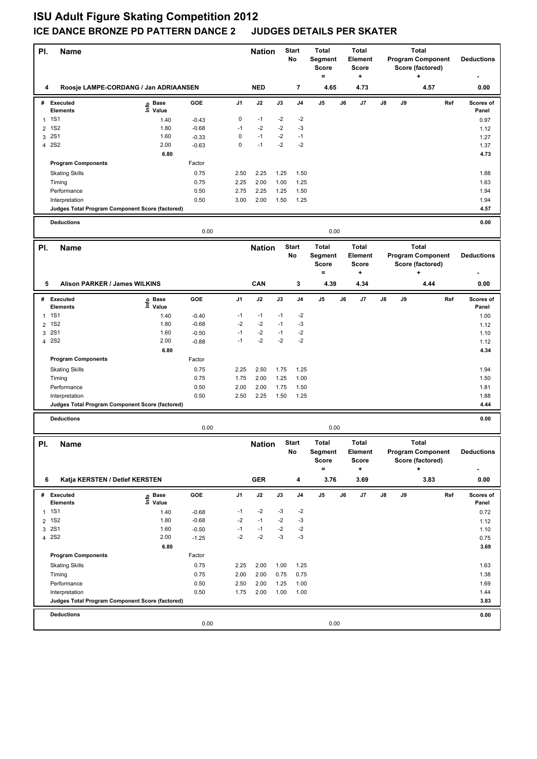## **ISU Adult Figure Skating Competition 2012 ICE DANCE BRONZE PD PATTERN DANCE 2 JUDGES DETAILS PER SKATER**

| PI.            | <b>Name</b>                                     |                              |         |                | <b>Nation</b> |      | <b>Start</b><br>No | <b>Total</b><br>Segment<br><b>Score</b><br>$\equiv$ | <b>Total</b><br>Element<br><b>Score</b><br>+ |                               |               |    | Total<br><b>Program Component</b><br>Score (factored)<br>$\ddot{}$ |     | <b>Deductions</b>  |
|----------------|-------------------------------------------------|------------------------------|---------|----------------|---------------|------|--------------------|-----------------------------------------------------|----------------------------------------------|-------------------------------|---------------|----|--------------------------------------------------------------------|-----|--------------------|
| 4              | Roosje LAMPE-CORDANG / Jan ADRIAANSEN           |                              |         |                | <b>NED</b>    |      | 7                  | 4.65                                                |                                              | 4.73                          |               |    | 4.57                                                               |     | 0.00               |
|                | # Executed<br><b>Elements</b>                   | e Base<br>⊑ Value            | GOE     | J <sub>1</sub> | J2            | J3   | J <sub>4</sub>     | J5                                                  | J6                                           | J7                            | $\mathsf{J}8$ | J9 |                                                                    | Ref | Scores of<br>Panel |
| $\mathbf{1}$   | <b>1S1</b>                                      | 1.40                         | $-0.43$ | $\pmb{0}$      | $-1$          | $-2$ | $-2$               |                                                     |                                              |                               |               |    |                                                                    |     | 0.97               |
| $\overline{2}$ | <b>1S2</b>                                      | 1.80                         | $-0.68$ | $-1$           | $-2$          | $-2$ | $-3$               |                                                     |                                              |                               |               |    |                                                                    |     | 1.12               |
| 3              | <b>2S1</b>                                      | 1.60                         | $-0.33$ | $\mathbf 0$    | $-1$          | $-2$ | $-1$               |                                                     |                                              |                               |               |    |                                                                    |     | 1.27               |
| $\overline{4}$ | <b>2S2</b>                                      | 2.00                         | $-0.63$ | $\mathbf 0$    | $-1$          | $-2$ | $-2$               |                                                     |                                              |                               |               |    |                                                                    |     | 1.37               |
|                |                                                 | 6.80                         |         |                |               |      |                    |                                                     |                                              |                               |               |    |                                                                    |     | 4.73               |
|                | <b>Program Components</b>                       |                              | Factor  |                |               |      |                    |                                                     |                                              |                               |               |    |                                                                    |     |                    |
|                | <b>Skating Skills</b>                           |                              | 0.75    | 2.50           | 2.25          | 1.25 | 1.50               |                                                     |                                              |                               |               |    |                                                                    |     | 1.88               |
|                | Timing                                          |                              | 0.75    | 2.25           | 2.00          | 1.00 | 1.25               |                                                     |                                              |                               |               |    |                                                                    |     | 1.63               |
|                | Performance                                     |                              | 0.50    | 2.75           | 2.25          | 1.25 | 1.50               |                                                     |                                              |                               |               |    |                                                                    |     | 1.94               |
|                | Interpretation                                  |                              | 0.50    | 3.00           | 2.00          | 1.50 | 1.25               |                                                     |                                              |                               |               |    |                                                                    |     | 1.94               |
|                | Judges Total Program Component Score (factored) |                              |         |                |               |      |                    |                                                     |                                              |                               |               |    |                                                                    |     | 4.57               |
|                | <b>Deductions</b>                               |                              | 0.00    |                |               |      |                    | 0.00                                                |                                              |                               |               |    |                                                                    |     | 0.00               |
| PI.            | Name                                            |                              |         |                | <b>Nation</b> |      | <b>Start</b>       | <b>Total</b>                                        |                                              | <b>Total</b>                  |               |    | <b>Total</b>                                                       |     |                    |
|                |                                                 |                              |         |                |               |      | No                 | Segment<br><b>Score</b><br>$\equiv$                 |                                              | Element<br>Score<br>+         |               |    | <b>Program Component</b><br>Score (factored)<br>÷                  |     | <b>Deductions</b>  |
| 5              | Alison PARKER / James WILKINS                   |                              |         |                | CAN           |      | 3                  | 4.39                                                |                                              | 4.34                          |               |    | 4.44                                                               |     | 0.00               |
|                |                                                 |                              |         |                |               |      |                    |                                                     |                                              |                               |               |    |                                                                    |     |                    |
|                | # Executed<br><b>Elements</b>                   | ၉ Base<br>$\ddot{\Xi}$ Value | GOE     | J <sub>1</sub> | J2            | J3   | J <sub>4</sub>     | J5                                                  | J6                                           | J7                            | J8            | J9 |                                                                    | Ref | Scores of<br>Panel |
| $\mathbf{1}$   | <b>1S1</b>                                      | 1.40                         | $-0.40$ | $-1$           | $-1$          | $-1$ | $-2$               |                                                     |                                              |                               |               |    |                                                                    |     | 1.00               |
| $\overline{2}$ | <b>1S2</b>                                      | 1.80                         | $-0.68$ | $-2$           | $-2$          | $-1$ | -3                 |                                                     |                                              |                               |               |    |                                                                    |     | 1.12               |
| 3              | <b>2S1</b>                                      | 1.60                         | $-0.50$ | $-1$           | $-2$          | $-1$ | $-2$               |                                                     |                                              |                               |               |    |                                                                    |     | 1.10               |
|                | 4 2S2                                           | 2.00                         | $-0.88$ | $-1$           | $-2$          | $-2$ | $-2$               |                                                     |                                              |                               |               |    |                                                                    |     | 1.12               |
|                |                                                 | 6.80                         |         |                |               |      |                    |                                                     |                                              |                               |               |    |                                                                    |     | 4.34               |
|                | <b>Program Components</b>                       |                              | Factor  |                |               |      |                    |                                                     |                                              |                               |               |    |                                                                    |     |                    |
|                | <b>Skating Skills</b>                           |                              | 0.75    | 2.25           | 2.50          | 1.75 | 1.25               |                                                     |                                              |                               |               |    |                                                                    |     | 1.94               |
|                | Timing                                          |                              | 0.75    | 1.75           | 2.00          | 1.25 | 1.00               |                                                     |                                              |                               |               |    |                                                                    |     | 1.50               |
|                | Performance                                     |                              | 0.50    | 2.00           | 2.00          | 1.75 | 1.50               |                                                     |                                              |                               |               |    |                                                                    |     | 1.81               |
|                | Interpretation                                  |                              | 0.50    | 2.50           | 2.25          | 1.50 | 1.25               |                                                     |                                              |                               |               |    |                                                                    |     | 1.88               |
|                | Judges Total Program Component Score (factored) |                              |         |                |               |      |                    |                                                     |                                              |                               |               |    |                                                                    |     | 4.44               |
|                | <b>Deductions</b>                               |                              | 0.00    |                |               |      |                    | 0.00                                                |                                              |                               |               |    |                                                                    |     | 0.00               |
|                |                                                 |                              |         |                |               |      | <b>Start</b>       | <b>Total</b>                                        |                                              | Total                         |               |    | <b>Total</b>                                                       |     |                    |
| PI.            | Name                                            |                              |         |                | <b>Nation</b> |      | No                 | Segment<br><b>Score</b><br>$\equiv$                 |                                              | Element<br>Score<br>$\ddot{}$ |               |    | <b>Program Component</b><br>Score (factored)<br>$\ddot{}$          |     | <b>Deductions</b>  |
| 6              | Katja KERSTEN / Detlef KERSTEN                  |                              |         |                | <b>GER</b>    |      | 4                  | 3.76                                                |                                              | 3.69                          |               |    | 3.83                                                               |     | 0.00               |
|                | # Executed                                      |                              | GOE     | J1             | J2            | J3   | J <sub>4</sub>     | J5                                                  | J6                                           | J7                            | J8            | J9 |                                                                    | Ref | Scores of          |
|                | <b>Elements</b>                                 | e Base<br>⊑ Value            |         |                |               |      |                    |                                                     |                                              |                               |               |    |                                                                    |     | Panel              |
| $\mathbf{1}$   | <b>1S1</b>                                      | 1.40                         | $-0.68$ | $-1$           | $-2$          | -3   | $-2$               |                                                     |                                              |                               |               |    |                                                                    |     | 0.72               |
|                | 2 1S2                                           | 1.80                         | $-0.68$ | $-2$           | $-1$          | $-2$ | $-3$               |                                                     |                                              |                               |               |    |                                                                    |     | 1.12               |
| 3              | <b>2S1</b>                                      | 1.60                         | $-0.50$ | $-1$           | $-1$          | $-2$ | $-2$               |                                                     |                                              |                               |               |    |                                                                    |     | 1.10               |
|                | 4 2 S 2                                         | 2.00                         | $-1.25$ | $-2$           | $-2$          | -3   | -3                 |                                                     |                                              |                               |               |    |                                                                    |     | 0.75               |
|                | <b>Program Components</b>                       | 6.80                         | Factor  |                |               |      |                    |                                                     |                                              |                               |               |    |                                                                    |     | 3.69               |
|                |                                                 |                              | 0.75    | 2.25           | 2.00          | 1.00 | 1.25               |                                                     |                                              |                               |               |    |                                                                    |     | 1.63               |
|                | <b>Skating Skills</b><br>Timing                 |                              | 0.75    | 2.00           | 2.00          | 0.75 | 0.75               |                                                     |                                              |                               |               |    |                                                                    |     | 1.38               |
|                | Performance                                     |                              | 0.50    | 2.50           | 2.00          | 1.25 | 1.00               |                                                     |                                              |                               |               |    |                                                                    |     | 1.69               |
|                | Interpretation                                  |                              | 0.50    | 1.75           | 2.00          | 1.00 | 1.00               |                                                     |                                              |                               |               |    |                                                                    |     | 1.44               |
|                | Judges Total Program Component Score (factored) |                              |         |                |               |      |                    |                                                     |                                              |                               |               |    |                                                                    |     | 3.83               |
|                | <b>Deductions</b>                               |                              |         |                |               |      |                    |                                                     |                                              |                               |               |    |                                                                    |     | 0.00               |
|                |                                                 |                              | 0.00    |                |               |      |                    | 0.00                                                |                                              |                               |               |    |                                                                    |     |                    |
|                |                                                 |                              |         |                |               |      |                    |                                                     |                                              |                               |               |    |                                                                    |     |                    |